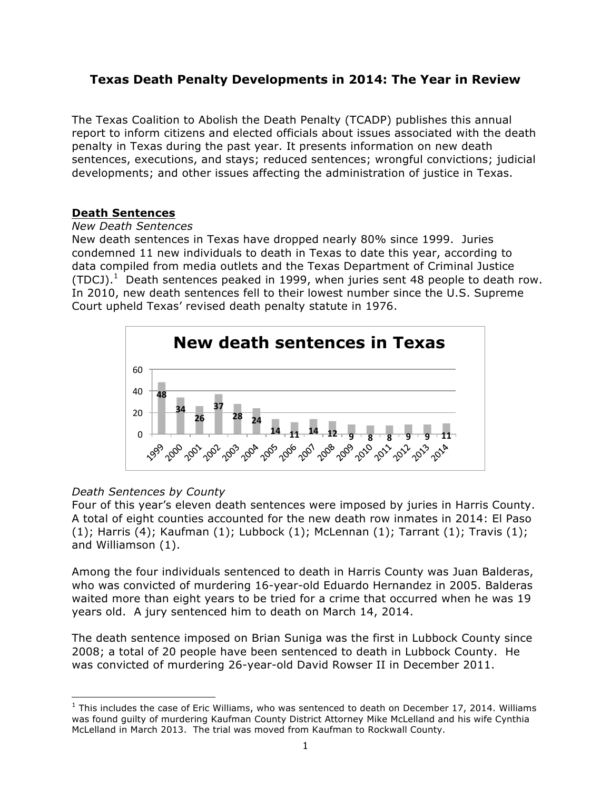# **Texas Death Penalty Developments in 2014: The Year in Review**

The Texas Coalition to Abolish the Death Penalty (TCADP) publishes this annual report to inform citizens and elected officials about issues associated with the death penalty in Texas during the past year. It presents information on new death sentences, executions, and stays; reduced sentences; wrongful convictions; judicial developments; and other issues affecting the administration of justice in Texas.

### **Death Sentences**

### *New Death Sentences*

New death sentences in Texas have dropped nearly 80% since 1999. Juries condemned 11 new individuals to death in Texas to date this year, according to data compiled from media outlets and the Texas Department of Criminal Justice (TDCJ).<sup>1</sup> Death sentences peaked in 1999, when juries sent 48 people to death row. In 2010, new death sentences fell to their lowest number since the U.S. Supreme Court upheld Texas' revised death penalty statute in 1976.



### *Death Sentences by County*

Four of this year's eleven death sentences were imposed by juries in Harris County. A total of eight counties accounted for the new death row inmates in 2014: El Paso  $(1)$ ; Harris  $(4)$ ; Kaufman  $(1)$ ; Lubbock  $(1)$ ; McLennan  $(1)$ ; Tarrant  $(1)$ ; Travis  $(1)$ ; and Williamson (1).

Among the four individuals sentenced to death in Harris County was Juan Balderas, who was convicted of murdering 16-year-old Eduardo Hernandez in 2005. Balderas waited more than eight years to be tried for a crime that occurred when he was 19 years old. A jury sentenced him to death on March 14, 2014.

The death sentence imposed on Brian Suniga was the first in Lubbock County since 2008; a total of 20 people have been sentenced to death in Lubbock County. He was convicted of murdering 26-year-old David Rowser II in December 2011.

  $1$  This includes the case of Eric Williams, who was sentenced to death on December 17, 2014. Williams was found guilty of murdering Kaufman County District Attorney Mike McLelland and his wife Cynthia McLelland in March 2013. The trial was moved from Kaufman to Rockwall County.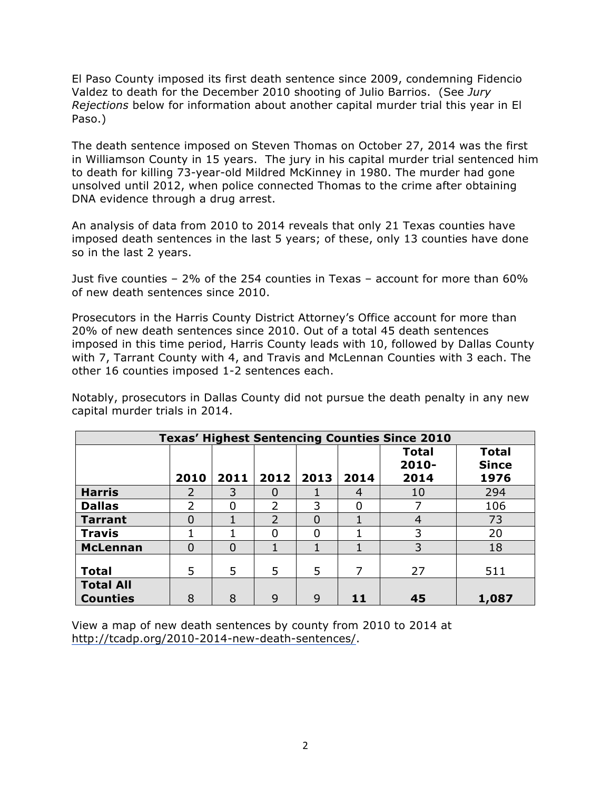El Paso County imposed its first death sentence since 2009, condemning Fidencio Valdez to death for the December 2010 shooting of Julio Barrios. (See *Jury Rejections* below for information about another capital murder trial this year in El Paso.)

The death sentence imposed on Steven Thomas on October 27, 2014 was the first in Williamson County in 15 years. The jury in his capital murder trial sentenced him to death for killing 73-year-old Mildred McKinney in 1980. The murder had gone unsolved until 2012, when police connected Thomas to the crime after obtaining DNA evidence through a drug arrest.

An analysis of data from 2010 to 2014 reveals that only 21 Texas counties have imposed death sentences in the last 5 years; of these, only 13 counties have done so in the last 2 years.

Just five counties – 2% of the 254 counties in Texas – account for more than 60% of new death sentences since 2010.

Prosecutors in the Harris County District Attorney's Office account for more than 20% of new death sentences since 2010. Out of a total 45 death sentences imposed in this time period, Harris County leads with 10, followed by Dallas County with 7, Tarrant County with 4, and Travis and McLennan Counties with 3 each. The other 16 counties imposed 1-2 sentences each.

Notably, prosecutors in Dallas County did not pursue the death penalty in any new capital murder trials in 2014.

| <b>Texas' Highest Sentencing Counties Since 2010</b> |                |          |                |      |          |                                  |                                      |  |
|------------------------------------------------------|----------------|----------|----------------|------|----------|----------------------------------|--------------------------------------|--|
|                                                      | 2010           | 2011     | 2012           | 2013 | 2014     | <b>Total</b><br>$2010 -$<br>2014 | <b>Total</b><br><b>Since</b><br>1976 |  |
| <b>Harris</b>                                        | 2              | 3        | 0              |      | 4        | 10                               | 294                                  |  |
| <b>Dallas</b>                                        | $\mathcal{P}$  | 0        | $\overline{2}$ | 3    | $\Omega$ |                                  | 106                                  |  |
| <b>Tarrant</b>                                       | $\Omega$       |          | 2              |      |          | 4                                | 73                                   |  |
| <b>Travis</b>                                        |                |          | 0              |      |          | 3                                | 20                                   |  |
| <b>McLennan</b>                                      | $\overline{0}$ | $\Omega$ | 1              |      | 1        | 3                                | 18                                   |  |
| <b>Total</b>                                         | 5              | 5        | 5              | 5    |          | 27                               | 511                                  |  |
| <b>Total All</b><br><b>Counties</b>                  | 8              | 8        | 9              | 9    | 11       | 45                               | 1,087                                |  |

View a map of new death sentences by county from 2010 to 2014 at http://tcadp.org/2010-2014-new-death-sentences/.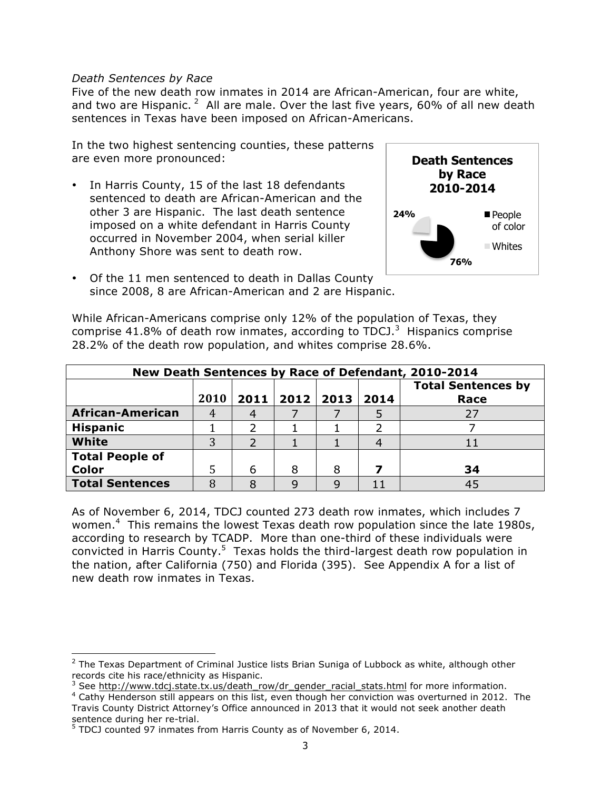#### *Death Sentences by Race*

Five of the new death row inmates in 2014 are African-American, four are white, and two are Hispanic. <sup>2</sup> All are male. Over the last five years, 60% of all new death sentences in Texas have been imposed on African-Americans.

In the two highest sentencing counties, these patterns are even more pronounced:

• In Harris County, 15 of the last 18 defendants sentenced to death are African-American and the other 3 are Hispanic. The last death sentence imposed on a white defendant in Harris County occurred in November 2004, when serial killer Anthony Shore was sent to death row.



• Of the 11 men sentenced to death in Dallas County since 2008, 8 are African-American and 2 are Hispanic.

While African-Americans comprise only 12% of the population of Texas, they comprise 41.8% of death row inmates, according to TDCJ.<sup>3</sup> Hispanics comprise 28.2% of the death row population, and whites comprise 28.6%.

| New Death Sentences by Race of Defendant, 2010-2014 |      |   |                    |   |      |                                   |  |  |
|-----------------------------------------------------|------|---|--------------------|---|------|-----------------------------------|--|--|
|                                                     | 2010 |   | 2011   2012   2013 |   | 2014 | <b>Total Sentences by</b><br>Race |  |  |
| <b>African-American</b>                             |      |   |                    |   |      |                                   |  |  |
| <b>Hispanic</b>                                     |      |   |                    |   |      |                                   |  |  |
| <b>White</b>                                        | 3    |   |                    |   |      |                                   |  |  |
| <b>Total People of</b>                              |      |   |                    |   |      |                                   |  |  |
| Color                                               |      | 6 | 8                  | 8 |      | 34                                |  |  |
| <b>Total Sentences</b>                              |      |   | 9                  |   |      |                                   |  |  |

As of November 6, 2014, TDCJ counted 273 death row inmates, which includes 7 women.<sup>4</sup> This remains the lowest Texas death row population since the late 1980s, according to research by TCADP. More than one-third of these individuals were convicted in Harris County.<sup>5</sup> Texas holds the third-largest death row population in the nation, after California (750) and Florida (395). See Appendix A for a list of new death row inmates in Texas.

 

 $2$  The Texas Department of Criminal Justice lists Brian Suniga of Lubbock as white, although other records cite his race/ethnicity as Hispanic.

<sup>&</sup>lt;sup>3</sup> See http://www.tdcj.state.tx.us/death\_row/dr\_gender\_racial\_stats.html for more information.

<sup>&</sup>lt;sup>4</sup> Cathy Henderson still appears on this list, even though her conviction was overturned in 2012. The Travis County District Attorney's Office announced in 2013 that it would not seek another death sentence during her re-trial.<br> $<sup>5</sup> TDCJ$  counted 97 inmates from Harris County as of November 6, 2014.</sup>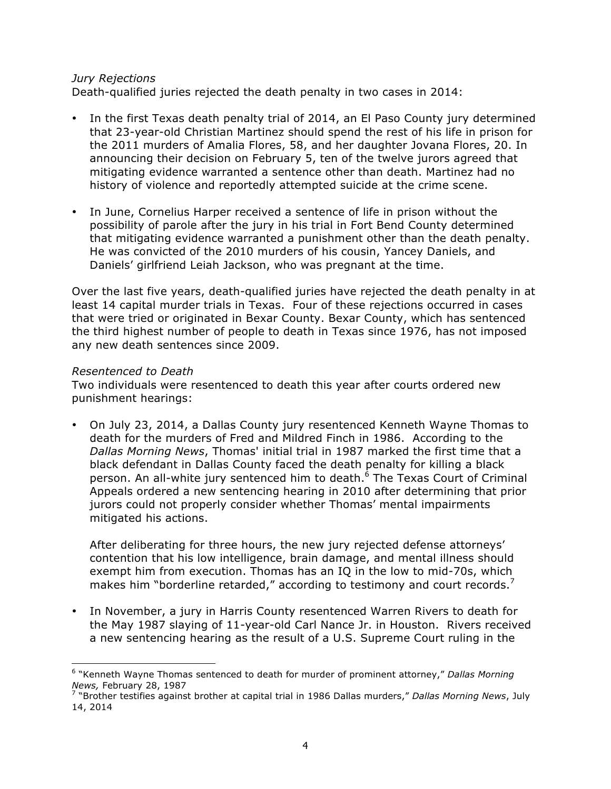### *Jury Rejections*

Death-qualified juries rejected the death penalty in two cases in 2014:

- In the first Texas death penalty trial of 2014, an El Paso County jury determined that 23-year-old Christian Martinez should spend the rest of his life in prison for the 2011 murders of Amalia Flores, 58, and her daughter Jovana Flores, 20. In announcing their decision on February 5, ten of the twelve jurors agreed that mitigating evidence warranted a sentence other than death. Martinez had no history of violence and reportedly attempted suicide at the crime scene.
- In June, Cornelius Harper received a sentence of life in prison without the possibility of parole after the jury in his trial in Fort Bend County determined that mitigating evidence warranted a punishment other than the death penalty. He was convicted of the 2010 murders of his cousin, Yancey Daniels, and Daniels' girlfriend Leiah Jackson, who was pregnant at the time.

Over the last five years, death-qualified juries have rejected the death penalty in at least 14 capital murder trials in Texas. Four of these rejections occurred in cases that were tried or originated in Bexar County. Bexar County, which has sentenced the third highest number of people to death in Texas since 1976, has not imposed any new death sentences since 2009.

### *Resentenced to Death*

 

Two individuals were resentenced to death this year after courts ordered new punishment hearings:

• On July 23, 2014, a Dallas County jury resentenced Kenneth Wayne Thomas to death for the murders of Fred and Mildred Finch in 1986. According to the *Dallas Morning News*, Thomas' initial trial in 1987 marked the first time that a black defendant in Dallas County faced the death penalty for killing a black person. An all-white jury sentenced him to death.<sup>6</sup> The Texas Court of Criminal Appeals ordered a new sentencing hearing in 2010 after determining that prior jurors could not properly consider whether Thomas' mental impairments mitigated his actions.

After deliberating for three hours, the new jury rejected defense attorneys' contention that his low intelligence, brain damage, and mental illness should exempt him from execution. Thomas has an IQ in the low to mid-70s, which makes him "borderline retarded," according to testimony and court records.

• In November, a jury in Harris County resentenced Warren Rivers to death for the May 1987 slaying of 11-year-old Carl Nance Jr. in Houston. Rivers received a new sentencing hearing as the result of a U.S. Supreme Court ruling in the

<sup>6</sup> "Kenneth Wayne Thomas sentenced to death for murder of prominent attorney," *Dallas Morning News,* February 28, 1987

<sup>7</sup> "Brother testifies against brother at capital trial in 1986 Dallas murders," *Dallas Morning News*, July 14, 2014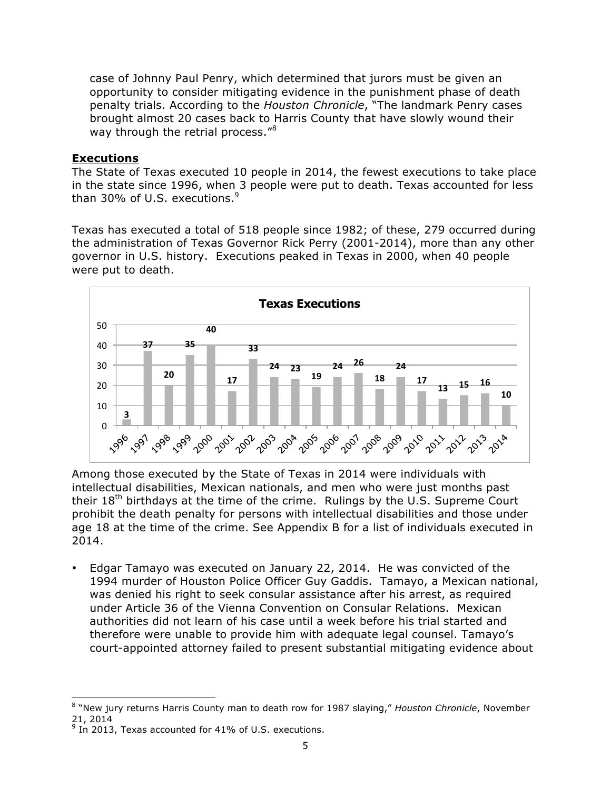case of Johnny Paul Penry, which determined that jurors must be given an opportunity to consider mitigating evidence in the punishment phase of death penalty trials. According to the *Houston Chronicle*, "The landmark Penry cases brought almost 20 cases back to Harris County that have slowly wound their way through the retrial process."<sup>8</sup>

### **Executions**

The State of Texas executed 10 people in 2014, the fewest executions to take place in the state since 1996, when 3 people were put to death. Texas accounted for less than 30% of U.S. executions.<sup>9</sup>

Texas has executed a total of 518 people since 1982; of these, 279 occurred during the administration of Texas Governor Rick Perry (2001-2014), more than any other governor in U.S. history. Executions peaked in Texas in 2000, when 40 people were put to death.



Among those executed by the State of Texas in 2014 were individuals with intellectual disabilities, Mexican nationals, and men who were just months past their  $18<sup>th</sup>$  birthdays at the time of the crime. Rulings by the U.S. Supreme Court prohibit the death penalty for persons with intellectual disabilities and those under age 18 at the time of the crime. See Appendix B for a list of individuals executed in 2014.

• Edgar Tamayo was executed on January 22, 2014. He was convicted of the 1994 murder of Houston Police Officer Guy Gaddis. Tamayo, a Mexican national, was denied his right to seek consular assistance after his arrest, as required under Article 36 of the Vienna Convention on Consular Relations. Mexican authorities did not learn of his case until a week before his trial started and therefore were unable to provide him with adequate legal counsel. Tamayo's court-appointed attorney failed to present substantial mitigating evidence about

 <sup>8</sup> "New jury returns Harris County man to death row for 1987 slaying," *Houston Chronicle*, November 21, 2014

 $9$  In 2013, Texas accounted for 41% of U.S. executions.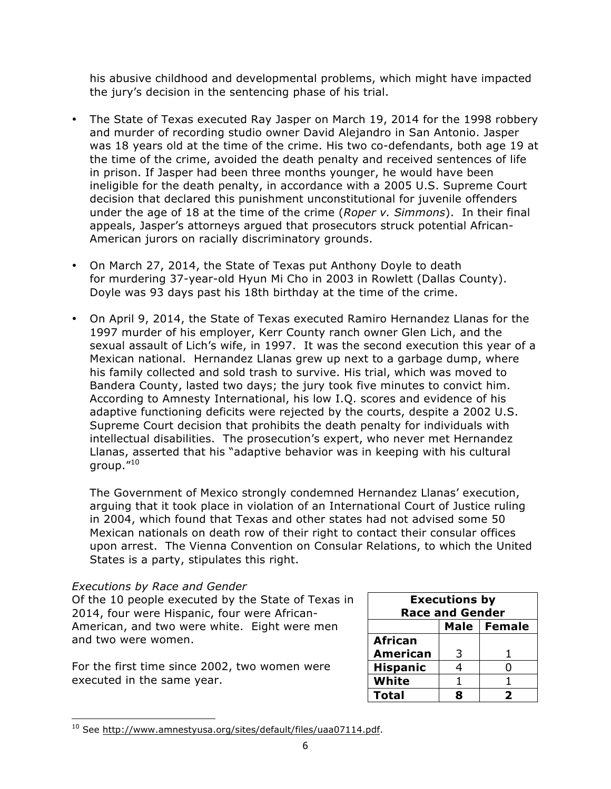his abusive childhood and developmental problems, which might have impacted the jury's decision in the sentencing phase of his trial.

- The State of Texas executed Ray Jasper on March 19, 2014 for the 1998 robbery and murder of recording studio owner David Alejandro in San Antonio. Jasper was 18 years old at the time of the crime. His two co-defendants, both age 19 at the time of the crime, avoided the death penalty and received sentences of life in prison. If Jasper had been three months younger, he would have been ineligible for the death penalty, in accordance with a 2005 U.S. Supreme Court decision that declared this punishment unconstitutional for juvenile offenders under the age of 18 at the time of the crime (*Roper v. Simmons*). In their final appeals, Jasper's attorneys argued that prosecutors struck potential African-American jurors on racially discriminatory grounds.
- On March 27, 2014, the State of Texas put Anthony Doyle to death for murdering 37-year-old Hyun Mi Cho in 2003 in Rowlett (Dallas County). Doyle was 93 days past his 18th birthday at the time of the crime.
- On April 9, 2014, the State of Texas executed Ramiro Hernandez Llanas for the 1997 murder of his employer, Kerr County ranch owner Glen Lich, and the sexual assault of Lich's wife, in 1997. It was the second execution this year of a Mexican national. Hernandez Llanas grew up next to a garbage dump, where his family collected and sold trash to survive. His trial, which was moved to Bandera County, lasted two days; the jury took five minutes to convict him. According to Amnesty International, his low I.Q. scores and evidence of his adaptive functioning deficits were rejected by the courts, despite a 2002 U.S. Supreme Court decision that prohibits the death penalty for individuals with intellectual disabilities. The prosecution's expert, who never met Hernandez Llanas, asserted that his "adaptive behavior was in keeping with his cultural group."<sup>10</sup>

The Government of Mexico strongly condemned Hernandez Llanas' execution, arguing that it took place in violation of an International Court of Justice ruling in 2004, which found that Texas and other states had not advised some 50 Mexican nationals on death row of their right to contact their consular offices upon arrest. The Vienna Convention on Consular Relations, to which the United States is a party, stipulates this right.

#### *Executions by Race and Gender*

 

Of the 10 people executed by the State of Texas in 2014, four were Hispanic, four were African-American, and two were white. Eight were men and two were women.

For the first time since 2002, two women were executed in the same year.

| <b>Executions by</b><br><b>Race and Gender</b> |   |  |  |  |  |  |  |
|------------------------------------------------|---|--|--|--|--|--|--|
| Male   Female                                  |   |  |  |  |  |  |  |
| <b>African</b>                                 |   |  |  |  |  |  |  |
| <b>American</b>                                | 3 |  |  |  |  |  |  |
| <b>Hispanic</b>                                | 4 |  |  |  |  |  |  |
| White                                          | 1 |  |  |  |  |  |  |
| Total<br>R<br>7                                |   |  |  |  |  |  |  |

<sup>&</sup>lt;sup>10</sup> See http://www.amnestyusa.org/sites/default/files/uaa07114.pdf.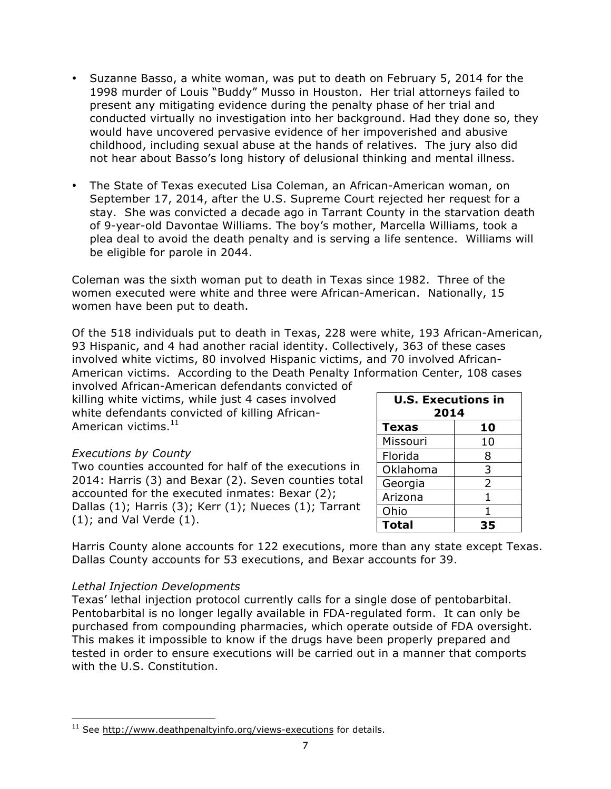- Suzanne Basso, a white woman, was put to death on February 5, 2014 for the 1998 murder of Louis "Buddy" Musso in Houston. Her trial attorneys failed to present any mitigating evidence during the penalty phase of her trial and conducted virtually no investigation into her background. Had they done so, they would have uncovered pervasive evidence of her impoverished and abusive childhood, including sexual abuse at the hands of relatives. The jury also did not hear about Basso's long history of delusional thinking and mental illness.
- The State of Texas executed Lisa Coleman, an African-American woman, on September 17, 2014, after the U.S. Supreme Court rejected her request for a stay. She was convicted a decade ago in Tarrant County in the starvation death of 9-year-old Davontae Williams. The boy's mother, Marcella Williams, took a plea deal to avoid the death penalty and is serving a life sentence. Williams will be eligible for parole in 2044.

Coleman was the sixth woman put to death in Texas since 1982. Three of the women executed were white and three were African-American. Nationally, 15 women have been put to death.

Of the 518 individuals put to death in Texas, 228 were white, 193 African-American, 93 Hispanic, and 4 had another racial identity. Collectively, 363 of these cases involved white victims, 80 involved Hispanic victims, and 70 involved African-American victims. According to the Death Penalty Information Center, 108 cases

involved African-American defendants convicted of killing white victims, while just 4 cases involved white defendants convicted of killing African-American victims. $11$ 

#### *Executions by County*

Two counties accounted for half of the executions in 2014: Harris (3) and Bexar (2). Seven counties total accounted for the executed inmates: Bexar (2); Dallas (1); Harris (3); Kerr (1); Nueces (1); Tarrant (1); and Val Verde (1).

**U.S. Executions in 2014 Texas 10** Missouri 10 Florida | 8 Oklahoma 3 Georgia | 2 Arizona 1 Ohio | 1 **Total 35**

Harris County alone accounts for 122 executions, more than any state except Texas. Dallas County accounts for 53 executions, and Bexar accounts for 39.

#### *Lethal Injection Developments*

Texas' lethal injection protocol currently calls for a single dose of pentobarbital. Pentobarbital is no longer legally available in FDA-regulated form. It can only be purchased from compounding pharmacies, which operate outside of FDA oversight. This makes it impossible to know if the drugs have been properly prepared and tested in order to ensure executions will be carried out in a manner that comports with the U.S. Constitution.

  $11$  See http://www.deathpenaltyinfo.org/views-executions for details.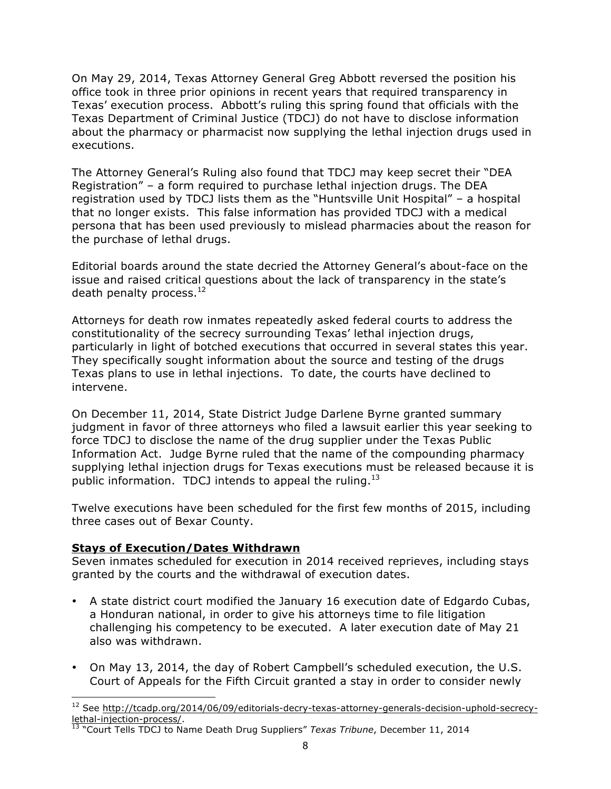On May 29, 2014, Texas Attorney General Greg Abbott reversed the position his office took in three prior opinions in recent years that required transparency in Texas' execution process. Abbott's ruling this spring found that officials with the Texas Department of Criminal Justice (TDCJ) do not have to disclose information about the pharmacy or pharmacist now supplying the lethal injection drugs used in executions.

The Attorney General's Ruling also found that TDCJ may keep secret their "DEA Registration" – a form required to purchase lethal injection drugs. The DEA registration used by TDCJ lists them as the "Huntsville Unit Hospital" – a hospital that no longer exists. This false information has provided TDCJ with a medical persona that has been used previously to mislead pharmacies about the reason for the purchase of lethal drugs.

Editorial boards around the state decried the Attorney General's about-face on the issue and raised critical questions about the lack of transparency in the state's death penalty process.<sup>12</sup>

Attorneys for death row inmates repeatedly asked federal courts to address the constitutionality of the secrecy surrounding Texas' lethal injection drugs, particularly in light of botched executions that occurred in several states this year. They specifically sought information about the source and testing of the drugs Texas plans to use in lethal injections. To date, the courts have declined to intervene.

On December 11, 2014, State District Judge Darlene Byrne granted summary judgment in favor of three attorneys who filed a lawsuit earlier this year seeking to force TDCJ to disclose the name of the drug supplier under the Texas Public Information Act. Judge Byrne ruled that the name of the compounding pharmacy supplying lethal injection drugs for Texas executions must be released because it is public information. TDCJ intends to appeal the ruling. $^{13}$ 

Twelve executions have been scheduled for the first few months of 2015, including three cases out of Bexar County.

### **Stays of Execution/Dates Withdrawn**

Seven inmates scheduled for execution in 2014 received reprieves, including stays granted by the courts and the withdrawal of execution dates.

- A state district court modified the January 16 execution date of Edgardo Cubas, a Honduran national, in order to give his attorneys time to file litigation challenging his competency to be executed. A later execution date of May 21 also was withdrawn.
- On May 13, 2014, the day of Robert Campbell's scheduled execution, the U.S. Court of Appeals for the Fifth Circuit granted a stay in order to consider newly

 <sup>12</sup> See http://tcadp.org/2014/06/09/editorials-decry-texas-attorney-generals-decision-uphold-secrecylethal-injection-process/.

<sup>13</sup> "Court Tells TDCJ to Name Death Drug Suppliers" *Texas Tribune*, December 11, 2014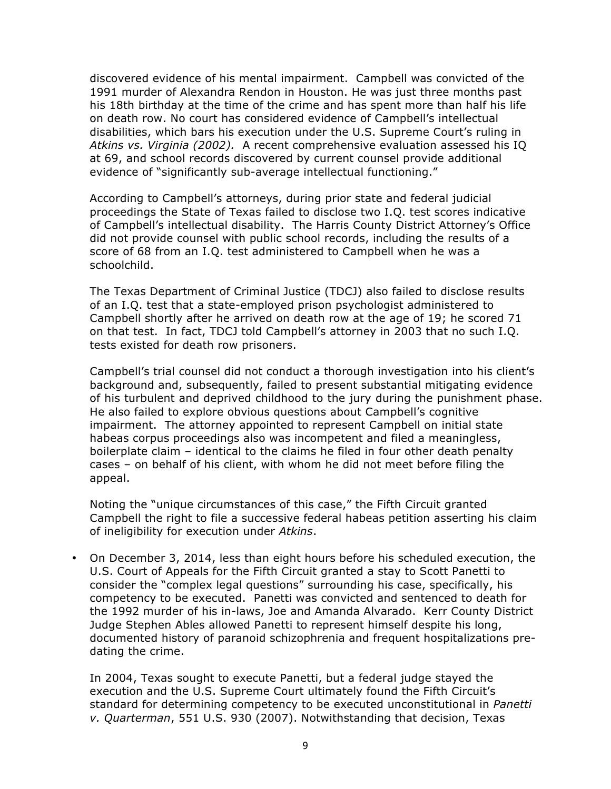discovered evidence of his mental impairment. Campbell was convicted of the 1991 murder of Alexandra Rendon in Houston. He was just three months past his 18th birthday at the time of the crime and has spent more than half his life on death row. No court has considered evidence of Campbell's intellectual disabilities, which bars his execution under the U.S. Supreme Court's ruling in *Atkins vs. Virginia (2002).* A recent comprehensive evaluation assessed his IQ at 69, and school records discovered by current counsel provide additional evidence of "significantly sub-average intellectual functioning."

According to Campbell's attorneys, during prior state and federal judicial proceedings the State of Texas failed to disclose two I.Q. test scores indicative of Campbell's intellectual disability. The Harris County District Attorney's Office did not provide counsel with public school records, including the results of a score of 68 from an I.Q. test administered to Campbell when he was a schoolchild.

The Texas Department of Criminal Justice (TDCJ) also failed to disclose results of an I.Q. test that a state-employed prison psychologist administered to Campbell shortly after he arrived on death row at the age of 19; he scored 71 on that test. In fact, TDCJ told Campbell's attorney in 2003 that no such I.Q. tests existed for death row prisoners.

Campbell's trial counsel did not conduct a thorough investigation into his client's background and, subsequently, failed to present substantial mitigating evidence of his turbulent and deprived childhood to the jury during the punishment phase. He also failed to explore obvious questions about Campbell's cognitive impairment. The attorney appointed to represent Campbell on initial state habeas corpus proceedings also was incompetent and filed a meaningless, boilerplate claim – identical to the claims he filed in four other death penalty cases – on behalf of his client, with whom he did not meet before filing the appeal.

Noting the "unique circumstances of this case," the Fifth Circuit granted Campbell the right to file a successive federal habeas petition asserting his claim of ineligibility for execution under *Atkins*.

• On December 3, 2014, less than eight hours before his scheduled execution, the U.S. Court of Appeals for the Fifth Circuit granted a stay to Scott Panetti to consider the "complex legal questions" surrounding his case, specifically, his competency to be executed. Panetti was convicted and sentenced to death for the 1992 murder of his in-laws, Joe and Amanda Alvarado. Kerr County District Judge Stephen Ables allowed Panetti to represent himself despite his long, documented history of paranoid schizophrenia and frequent hospitalizations predating the crime.

In 2004, Texas sought to execute Panetti, but a federal judge stayed the execution and the U.S. Supreme Court ultimately found the Fifth Circuit's standard for determining competency to be executed unconstitutional in *Panetti v. Quarterman*, 551 U.S. 930 (2007). Notwithstanding that decision, Texas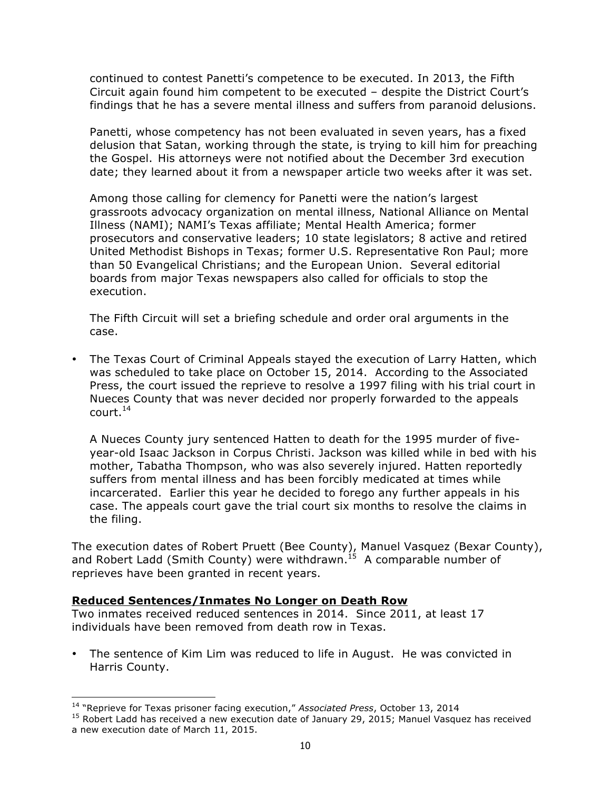continued to contest Panetti's competence to be executed. In 2013, the Fifth Circuit again found him competent to be executed – despite the District Court's findings that he has a severe mental illness and suffers from paranoid delusions.

Panetti, whose competency has not been evaluated in seven years, has a fixed delusion that Satan, working through the state, is trying to kill him for preaching the Gospel. His attorneys were not notified about the December 3rd execution date; they learned about it from a newspaper article two weeks after it was set.

Among those calling for clemency for Panetti were the nation's largest grassroots advocacy organization on mental illness, National Alliance on Mental Illness (NAMI); NAMI's Texas affiliate; Mental Health America; former prosecutors and conservative leaders; 10 state legislators; 8 active and retired United Methodist Bishops in Texas; former U.S. Representative Ron Paul; more than 50 Evangelical Christians; and the European Union. Several editorial boards from major Texas newspapers also called for officials to stop the execution.

The Fifth Circuit will set a briefing schedule and order oral arguments in the case.

• The Texas Court of Criminal Appeals stayed the execution of Larry Hatten, which was scheduled to take place on October 15, 2014. According to the Associated Press, the court issued the reprieve to resolve a 1997 filing with his trial court in Nueces County that was never decided nor properly forwarded to the appeals  $court.<sup>14</sup>$ 

A Nueces County jury sentenced Hatten to death for the 1995 murder of fiveyear-old Isaac Jackson in Corpus Christi. Jackson was killed while in bed with his mother, Tabatha Thompson, who was also severely injured. Hatten reportedly suffers from mental illness and has been forcibly medicated at times while incarcerated. Earlier this year he decided to forego any further appeals in his case. The appeals court gave the trial court six months to resolve the claims in the filing.

The execution dates of Robert Pruett (Bee County), Manuel Vasquez (Bexar County), and Robert Ladd (Smith County) were withdrawn.<sup>15</sup> A comparable number of reprieves have been granted in recent years.

### **Reduced Sentences/Inmates No Longer on Death Row**

Two inmates received reduced sentences in 2014. Since 2011, at least 17 individuals have been removed from death row in Texas.

• The sentence of Kim Lim was reduced to life in August. He was convicted in Harris County.

 <sup>14</sup> "Reprieve for Texas prisoner facing execution," *Associated Press*, October 13, 2014

<sup>&</sup>lt;sup>15</sup> Robert Ladd has received a new execution date of January 29, 2015; Manuel Vasquez has received a new execution date of March 11, 2015.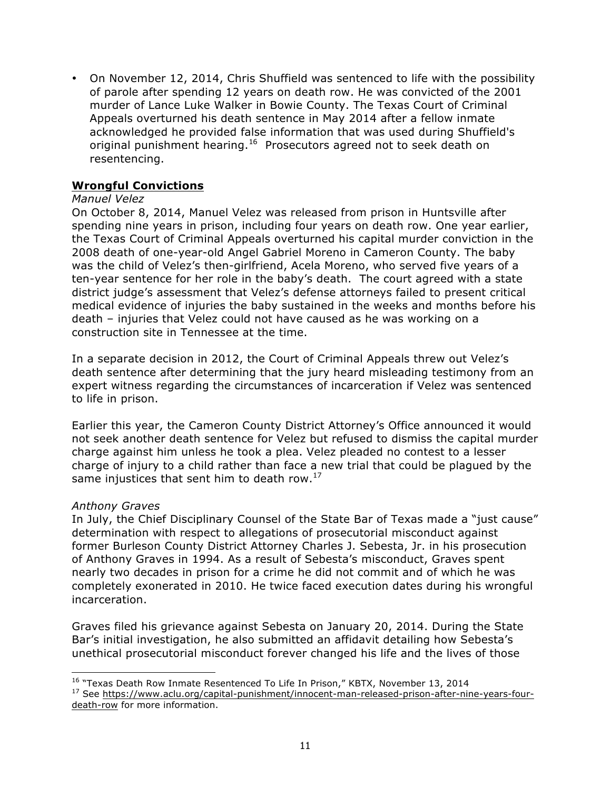• On November 12, 2014, Chris Shuffield was sentenced to life with the possibility of parole after spending 12 years on death row. He was convicted of the 2001 murder of Lance Luke Walker in Bowie County. The Texas Court of Criminal Appeals overturned his death sentence in May 2014 after a fellow inmate acknowledged he provided false information that was used during Shuffield's original punishment hearing.<sup>16</sup> Prosecutors agreed not to seek death on resentencing.

### **Wrongful Convictions**

### *Manuel Velez*

On October 8, 2014, Manuel Velez was released from prison in Huntsville after spending nine years in prison, including four years on death row. One year earlier, the Texas Court of Criminal Appeals overturned his capital murder conviction in the 2008 death of one-year-old Angel Gabriel Moreno in Cameron County. The baby was the child of Velez's then-girlfriend, Acela Moreno, who served five years of a ten-year sentence for her role in the baby's death. The court agreed with a state district judge's assessment that Velez's defense attorneys failed to present critical medical evidence of injuries the baby sustained in the weeks and months before his death – injuries that Velez could not have caused as he was working on a construction site in Tennessee at the time.

In a separate decision in 2012, the Court of Criminal Appeals threw out Velez's death sentence after determining that the jury heard misleading testimony from an expert witness regarding the circumstances of incarceration if Velez was sentenced to life in prison.

Earlier this year, the Cameron County District Attorney's Office announced it would not seek another death sentence for Velez but refused to dismiss the capital murder charge against him unless he took a plea. Velez pleaded no contest to a lesser charge of injury to a child rather than face a new trial that could be plagued by the same injustices that sent him to death row.<sup>17</sup>

#### *Anthony Graves*

 

In July, the Chief Disciplinary Counsel of the State Bar of Texas made a "just cause" determination with respect to allegations of prosecutorial misconduct against former Burleson County District Attorney Charles J. Sebesta, Jr. in his prosecution of Anthony Graves in 1994. As a result of Sebesta's misconduct, Graves spent nearly two decades in prison for a crime he did not commit and of which he was completely exonerated in 2010. He twice faced execution dates during his wrongful incarceration.

Graves filed his grievance against Sebesta on January 20, 2014. During the State Bar's initial investigation, he also submitted an affidavit detailing how Sebesta's unethical prosecutorial misconduct forever changed his life and the lives of those

<sup>&</sup>lt;sup>16</sup> "Texas Death Row Inmate Resentenced To Life In Prison," KBTX, November 13, 2014

<sup>&</sup>lt;sup>17</sup> See https://www.aclu.org/capital-punishment/innocent-man-released-prison-after-nine-years-fourdeath-row for more information.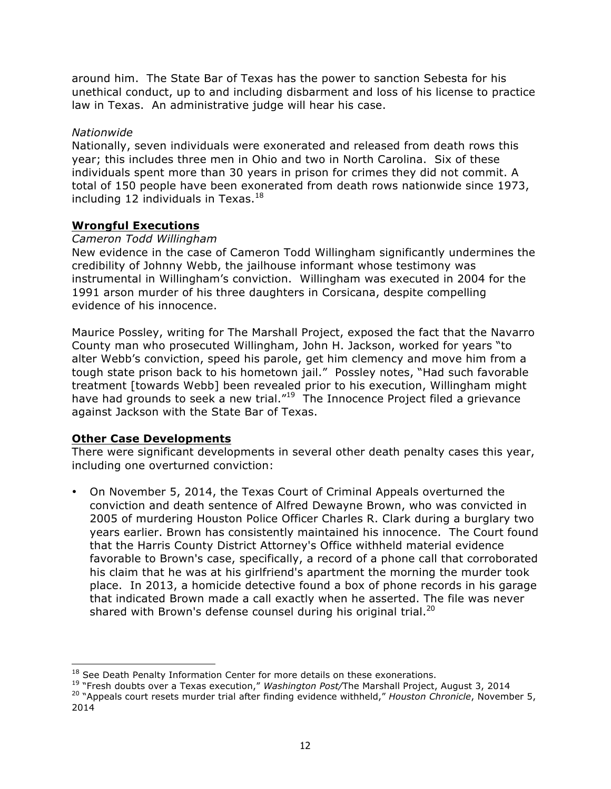around him. The State Bar of Texas has the power to sanction Sebesta for his unethical conduct, up to and including disbarment and loss of his license to practice law in Texas. An administrative judge will hear his case.

### *Nationwide*

Nationally, seven individuals were exonerated and released from death rows this year; this includes three men in Ohio and two in North Carolina. Six of these individuals spent more than 30 years in prison for crimes they did not commit. A total of 150 people have been exonerated from death rows nationwide since 1973, including 12 individuals in Texas. $18$ 

### **Wrongful Executions**

### *Cameron Todd Willingham*

New evidence in the case of Cameron Todd Willingham significantly undermines the credibility of Johnny Webb, the jailhouse informant whose testimony was instrumental in Willingham's conviction. Willingham was executed in 2004 for the 1991 arson murder of his three daughters in Corsicana, despite compelling evidence of his innocence.

Maurice Possley, writing for The Marshall Project, exposed the fact that the Navarro County man who prosecuted Willingham, John H. Jackson, worked for years "to alter Webb's conviction, speed his parole, get him clemency and move him from a tough state prison back to his hometown jail." Possley notes, "Had such favorable treatment [towards Webb] been revealed prior to his execution, Willingham might have had grounds to seek a new trial."<sup>19</sup> The Innocence Project filed a grievance against Jackson with the State Bar of Texas.

### **Other Case Developments**

 

There were significant developments in several other death penalty cases this year, including one overturned conviction:

• On November 5, 2014, the Texas Court of Criminal Appeals overturned the conviction and death sentence of Alfred Dewayne Brown, who was convicted in 2005 of murdering Houston Police Officer Charles R. Clark during a burglary two years earlier. Brown has consistently maintained his innocence. The Court found that the Harris County District Attorney's Office withheld material evidence favorable to Brown's case, specifically, a record of a phone call that corroborated his claim that he was at his girlfriend's apartment the morning the murder took place. In 2013, a homicide detective found a box of phone records in his garage that indicated Brown made a call exactly when he asserted. The file was never shared with Brown's defense counsel during his original trial.<sup>20</sup>

<sup>&</sup>lt;sup>18</sup> See Death Penalty Information Center for more details on these exonerations.

<sup>&</sup>lt;sup>19</sup> "Fresh doubts over a Texas execution," Washington Post/The Marshall Project, August 3, 2014 <sup>20</sup> "Appeals court resets murder trial after finding evidence withheld," *Houston Chronicle*, November 5, 2014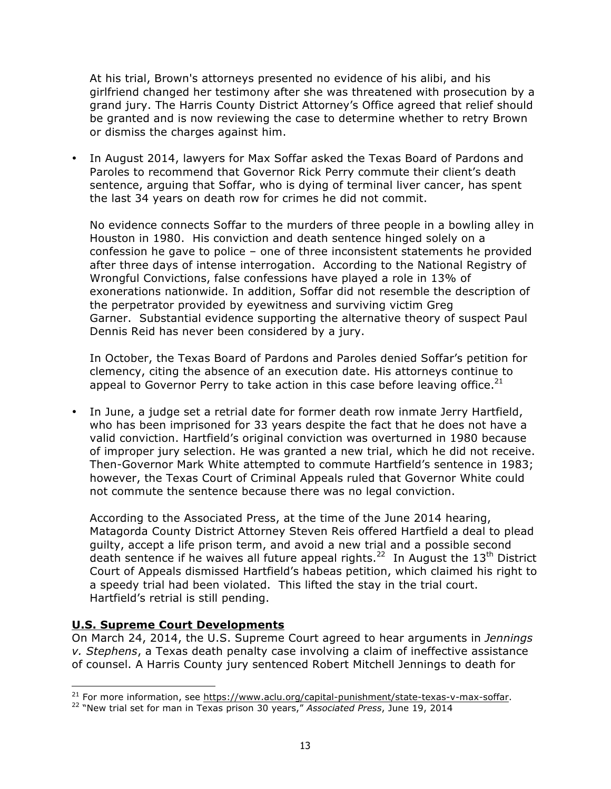At his trial, Brown's attorneys presented no evidence of his alibi, and his girlfriend changed her testimony after she was threatened with prosecution by a grand jury. The Harris County District Attorney's Office agreed that relief should be granted and is now reviewing the case to determine whether to retry Brown or dismiss the charges against him.

• In August 2014, lawyers for Max Soffar asked the Texas Board of Pardons and Paroles to recommend that Governor Rick Perry commute their client's death sentence, arguing that Soffar, who is dying of terminal liver cancer, has spent the last 34 years on death row for crimes he did not commit.

No evidence connects Soffar to the murders of three people in a bowling alley in Houston in 1980. His conviction and death sentence hinged solely on a confession he gave to police – one of three inconsistent statements he provided after three days of intense interrogation. According to the National Registry of Wrongful Convictions, false confessions have played a role in 13% of exonerations nationwide. In addition, Soffar did not resemble the description of the perpetrator provided by eyewitness and surviving victim Greg Garner. Substantial evidence supporting the alternative theory of suspect Paul Dennis Reid has never been considered by a jury.

In October, the Texas Board of Pardons and Paroles denied Soffar's petition for clemency, citing the absence of an execution date. His attorneys continue to appeal to Governor Perry to take action in this case before leaving office.<sup>21</sup>

• In June, a judge set a retrial date for former death row inmate Jerry Hartfield, who has been imprisoned for 33 years despite the fact that he does not have a valid conviction. Hartfield's original conviction was overturned in 1980 because of improper jury selection. He was granted a new trial, which he did not receive. Then-Governor Mark White attempted to commute Hartfield's sentence in 1983; however, the Texas Court of Criminal Appeals ruled that Governor White could not commute the sentence because there was no legal conviction.

According to the Associated Press, at the time of the June 2014 hearing, Matagorda County District Attorney Steven Reis offered Hartfield a deal to plead guilty, accept a life prison term, and avoid a new trial and a possible second death sentence if he waives all future appeal rights.<sup>22</sup> In August the  $13<sup>th</sup>$  District Court of Appeals dismissed Hartfield's habeas petition, which claimed his right to a speedy trial had been violated. This lifted the stay in the trial court. Hartfield's retrial is still pending.

### **U.S. Supreme Court Developments**

 

On March 24, 2014, the U.S. Supreme Court agreed to hear arguments in *Jennings v. Stephens*, a Texas death penalty case involving a claim of ineffective assistance of counsel. A Harris County jury sentenced Robert Mitchell Jennings to death for

<sup>&</sup>lt;sup>21</sup> For more information, see https://www.aclu.org/capital-punishment/state-texas-v-max-soffar.

<sup>22</sup> "New trial set for man in Texas prison 30 years," *Associated Press*, June 19, 2014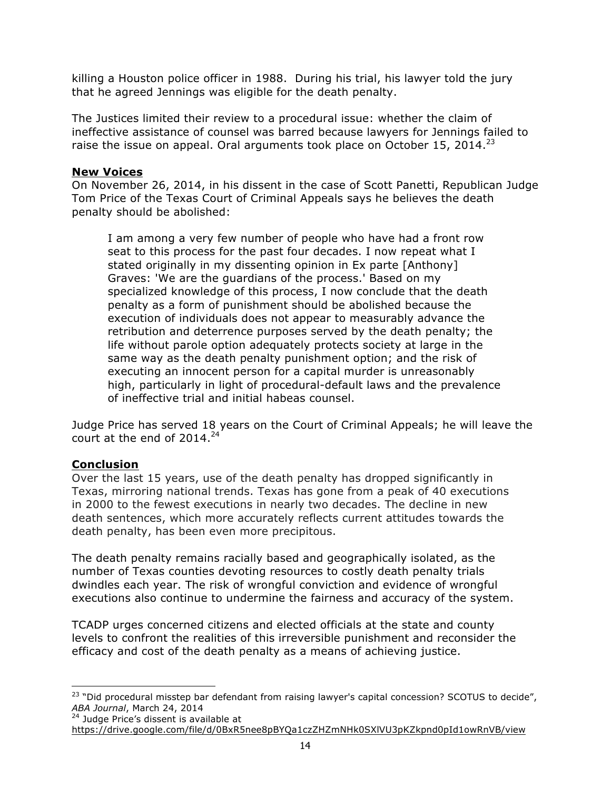killing a Houston police officer in 1988. During his trial, his lawyer told the jury that he agreed Jennings was eligible for the death penalty.

The Justices limited their review to a procedural issue: whether the claim of ineffective assistance of counsel was barred because lawyers for Jennings failed to raise the issue on appeal. Oral arguments took place on October 15, 2014.<sup>23</sup>

### **New Voices**

On November 26, 2014, in his dissent in the case of Scott Panetti, Republican Judge Tom Price of the Texas Court of Criminal Appeals says he believes the death penalty should be abolished:

I am among a very few number of people who have had a front row seat to this process for the past four decades. I now repeat what I stated originally in my dissenting opinion in Ex parte [Anthony] Graves: 'We are the guardians of the process.' Based on my specialized knowledge of this process, I now conclude that the death penalty as a form of punishment should be abolished because the execution of individuals does not appear to measurably advance the retribution and deterrence purposes served by the death penalty; the life without parole option adequately protects society at large in the same way as the death penalty punishment option; and the risk of executing an innocent person for a capital murder is unreasonably high, particularly in light of procedural-default laws and the prevalence of ineffective trial and initial habeas counsel.

Judge Price has served 18 years on the Court of Criminal Appeals; he will leave the court at the end of  $2014.<sup>24</sup>$ 

## **Conclusion**

Over the last 15 years, use of the death penalty has dropped significantly in Texas, mirroring national trends. Texas has gone from a peak of 40 executions in 2000 to the fewest executions in nearly two decades. The decline in new death sentences, which more accurately reflects current attitudes towards the death penalty, has been even more precipitous.

The death penalty remains racially based and geographically isolated, as the number of Texas counties devoting resources to costly death penalty trials dwindles each year. The risk of wrongful conviction and evidence of wrongful executions also continue to undermine the fairness and accuracy of the system.

TCADP urges concerned citizens and elected officials at the state and county levels to confront the realities of this irreversible punishment and reconsider the efficacy and cost of the death penalty as a means of achieving justice.

24 Judge Price's dissent is available at

 

<sup>&</sup>lt;sup>23</sup> "Did procedural misstep bar defendant from raising lawyer's capital concession? SCOTUS to decide", *ABA Journal*, March 24, 2014

https://drive.google.com/file/d/0BxR5nee8pBYQa1czZHZmNHk0SXlVU3pKZkpnd0pId1owRnVB/view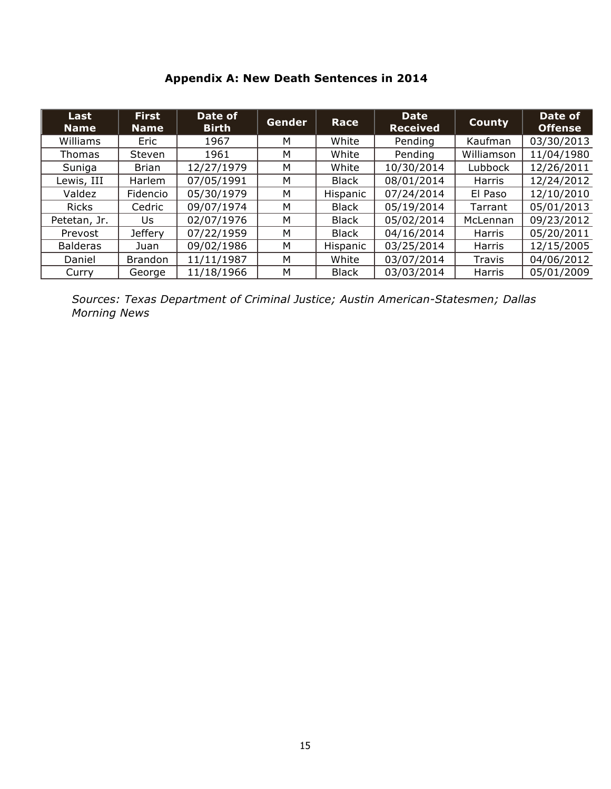| Last<br><b>Name</b> | <b>First</b><br>Name. | Date of<br><b>Birth</b> | Gender | Race         | <b>Date</b><br><b>Received</b> | County     | Date of<br><b>Offense</b> |
|---------------------|-----------------------|-------------------------|--------|--------------|--------------------------------|------------|---------------------------|
| Williams            | Eric                  | 1967                    | м      | White        | Pending                        | Kaufman    | 03/30/2013                |
| <b>Thomas</b>       | Steven                | 1961                    | м      | White        | Pending                        | Williamson | 11/04/1980                |
| Suniga              | <b>Brian</b>          | 12/27/1979              | м      | White        | 10/30/2014                     | Lubbock    | 12/26/2011                |
| Lewis, III          | Harlem                | 07/05/1991              | м      | <b>Black</b> | 08/01/2014                     | Harris     | 12/24/2012                |
| Valdez              | Fidencio              | 05/30/1979              | M      | Hispanic     | 07/24/2014                     | El Paso    | 12/10/2010                |
| <b>Ricks</b>        | Cedric                | 09/07/1974              | м      | <b>Black</b> | 05/19/2014                     | Tarrant    | 05/01/2013                |
| Petetan, Jr.        | Us.                   | 02/07/1976              | м      | <b>Black</b> | 05/02/2014                     | McLennan   | 09/23/2012                |
| Prevost             | <b>Jeffery</b>        | 07/22/1959              | м      | <b>Black</b> | 04/16/2014                     | Harris     | 05/20/2011                |
| <b>Balderas</b>     | Juan                  | 09/02/1986              | M      | Hispanic     | 03/25/2014                     | Harris     | 12/15/2005                |
| Daniel              | <b>Brandon</b>        | 11/11/1987              | м      | White        | 03/07/2014                     | Travis     | 04/06/2012                |
| Curry               | George                | 11/18/1966              | м      | <b>Black</b> | 03/03/2014                     | Harris     | 05/01/2009                |

**Appendix A: New Death Sentences in 2014**

*Sources: Texas Department of Criminal Justice; Austin American-Statesmen; Dallas Morning News*